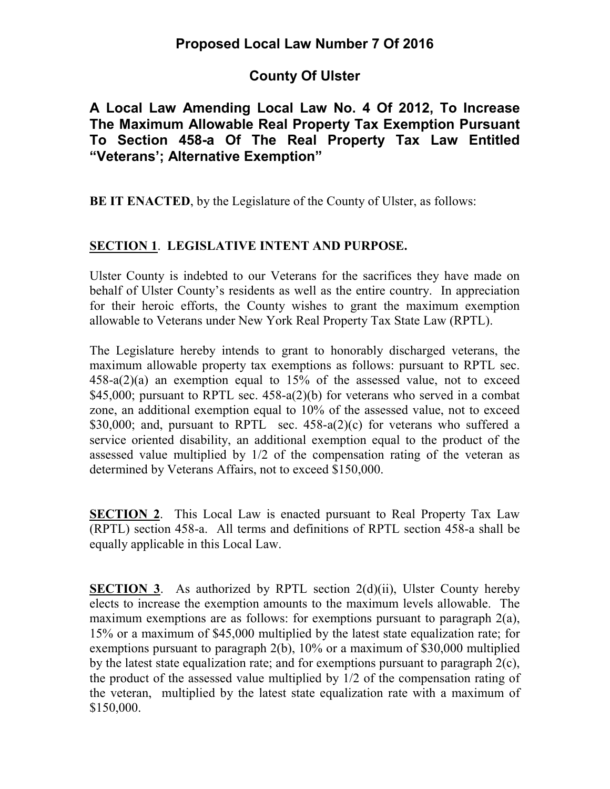# **County Of Ulster**

### **A Local Law Amending Local Law No. 4 Of 2012, To Increase The Maximum Allowable Real Property Tax Exemption Pursuant To Section 458-a Of The Real Property Tax Law Entitled "Veterans'; Alternative Exemption"**

**BE IT ENACTED**, by the Legislature of the County of Ulster, as follows:

#### **SECTION 1**. **LEGISLATIVE INTENT AND PURPOSE.**

Ulster County is indebted to our Veterans for the sacrifices they have made on behalf of Ulster County's residents as well as the entire country. In appreciation for their heroic efforts, the County wishes to grant the maximum exemption allowable to Veterans under New York Real Property Tax State Law (RPTL).

The Legislature hereby intends to grant to honorably discharged veterans, the maximum allowable property tax exemptions as follows: pursuant to RPTL sec. 458-a(2)(a) an exemption equal to 15% of the assessed value, not to exceed \$45,000; pursuant to RPTL sec. 458-a(2)(b) for veterans who served in a combat zone, an additional exemption equal to 10% of the assessed value, not to exceed \$30,000; and, pursuant to RPTL sec.  $458-a(2)(c)$  for veterans who suffered a service oriented disability, an additional exemption equal to the product of the assessed value multiplied by 1/2 of the compensation rating of the veteran as determined by Veterans Affairs, not to exceed \$150,000.

**SECTION 2**. This Local Law is enacted pursuant to Real Property Tax Law (RPTL) section 458-a. All terms and definitions of RPTL section 458-a shall be equally applicable in this Local Law.

**SECTION 3.** As authorized by RPTL section 2(d)(ii), Ulster County hereby elects to increase the exemption amounts to the maximum levels allowable. The maximum exemptions are as follows: for exemptions pursuant to paragraph 2(a), 15% or a maximum of \$45,000 multiplied by the latest state equalization rate; for exemptions pursuant to paragraph 2(b), 10% or a maximum of \$30,000 multiplied by the latest state equalization rate; and for exemptions pursuant to paragraph 2(c), the product of the assessed value multiplied by 1/2 of the compensation rating of the veteran, multiplied by the latest state equalization rate with a maximum of \$150,000.